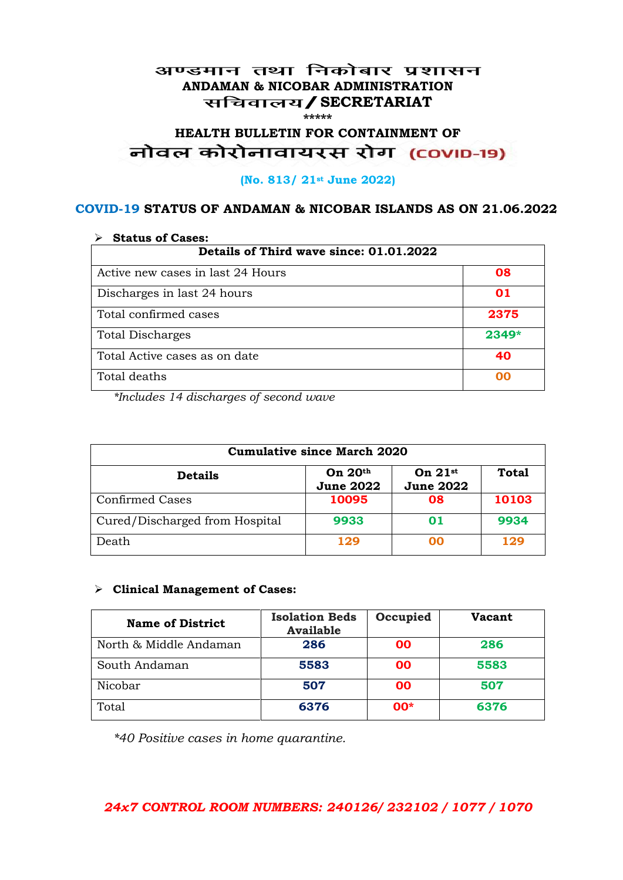#### अण्डमान तथा निकोबार प्रशासन **ANDAMAN & NICOBAR ADMINISTRATION /SECRETARIAT \*\*\*\*\***

# HEALTH BULLETIN FOR CONTAINMENT OF<br>बोवल कोरोनावायरस रोग (COVID-19)

#### **(No. 813/ 21st June 2022)**

#### **COVID-19 STATUS OF ANDAMAN & NICOBAR ISLANDS AS ON 21.06.2022**

| <b>Status of Cases:</b>                 |       |  |
|-----------------------------------------|-------|--|
| Details of Third wave since: 01.01.2022 |       |  |
| Active new cases in last 24 Hours       | 08    |  |
| Discharges in last 24 hours             | 01    |  |
| Total confirmed cases                   | 2375  |  |
| <b>Total Discharges</b>                 | 2349* |  |
| Total Active cases as on date           | 40    |  |
| Total deaths                            | oo    |  |

*\*Includes 14 discharges of second wave*

| <b>Cumulative since March 2020</b> |                               |                               |              |
|------------------------------------|-------------------------------|-------------------------------|--------------|
| <b>Details</b>                     | On $20th$<br><b>June 2022</b> | On $21st$<br><b>June 2022</b> | <b>Total</b> |
| <b>Confirmed Cases</b>             | 10095                         | 08                            | 10103        |
| Cured/Discharged from Hospital     | 9933                          | 01                            | 9934         |
| Death                              | 129                           | ററ                            | 129          |

#### **Clinical Management of Cases:**

| <b>Name of District</b> | <b>Isolation Beds</b><br><b>Available</b> | Occupied  | Vacant |
|-------------------------|-------------------------------------------|-----------|--------|
| North & Middle Andaman  | 286                                       | <b>OO</b> | 286    |
| South Andaman           | 5583                                      | <b>OO</b> | 5583   |
| Nicobar                 | 507                                       | <b>OO</b> | 507    |
| Total                   | 6376                                      | $00*$     | 6376   |

*\*40 Positive cases in home quarantine.*

#### *24x7 CONTROL ROOM NUMBERS: 240126/ 232102 / 1077 / 1070*